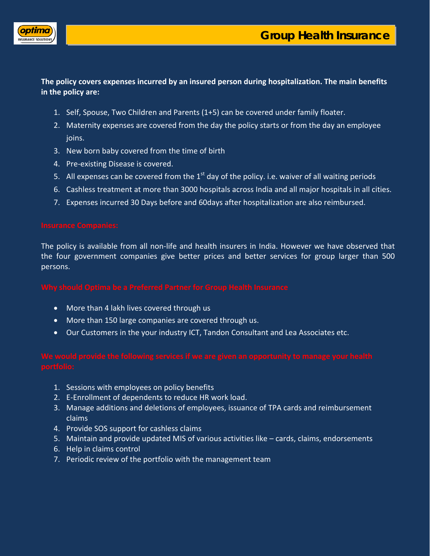



# **The policy covers expenses incurred by an insured person during hospitalization. The main benefits in the policy are:**

- 1. Self, Spouse, Two Children and Parents (1+5) can be covered under family floater.
- 2. Maternity expenses are covered from the day the policy starts or from the day an employee joins.
- 3. New born baby covered from the time of birth
- 4. Pre-existing Disease is covered.
- 5. All expenses can be covered from the  $1<sup>st</sup>$  day of the policy. i.e. waiver of all waiting periods
- 6. Cashless treatment at more than 3000 hospitals across India and all major hospitals in all cities.
- 7. Expenses incurred 30 Days before and 60days after hospitalization are also reimbursed.

The policy is available from all non-life and health insurers in India. However we have observed that the four government companies give better prices and better services for group larger than 500 persons.

- More than 4 lakh lives covered through us
- More than 150 large companies are covered through us.
- Our Customers in the your industry ICT, Tandon Consultant and Lea Associates etc.

- 1. Sessions with employees on policy benefits
- 2. E-Enrollment of dependents to reduce HR work load.
- 3. Manage additions and deletions of employees, issuance of TPA cards and reimbursement claims
- 4. Provide SOS support for cashless claims
- 5. Maintain and provide updated MIS of various activities like cards, claims, endorsements
- 6. Help in claims control
- 7. Periodic review of the portfolio with the management team